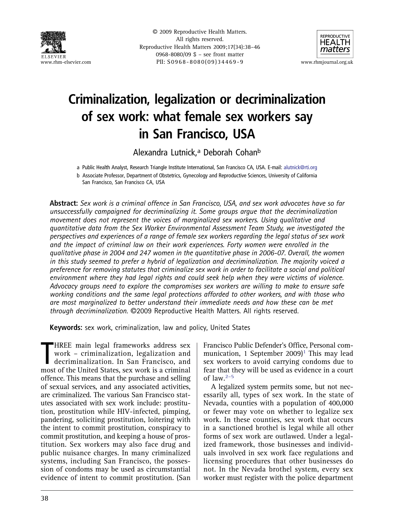

© 2009 Reproductive Health Matters. All rights reserved. Reproductive Health Matters 2009;17(34):38–46 0968-8080/09 \$ – see front matter www.rhm-elsevier.com PII: S0968-8080(09)34469-9 www.rhmjournal.org.uk



# Criminalization, legalization or decriminalization of sex work: what female sex workers say in San Francisco, USA

Alexandra Lutnick,<sup>a</sup> Deborah Cohan<sup>b</sup>

a Public Health Analyst, Research Triangle Institute International, San Francisco CA, USA. E-mail: [alutnick@rti.org](mailto:alutnick@rti.org)

b Associate Professor, Department of Obstetrics, Gynecology and Reproductive Sciences, University of California San Francisco, San Francisco CA, USA

Abstract: Sex work is a criminal offence in San Francisco, USA, and sex work advocates have so far unsuccessfully campaigned for decriminalizing it. Some groups argue that the decriminalization movement does not represent the voices of marginalized sex workers. Using qualitative and quantitative data from the Sex Worker Environmental Assessment Team Study, we investigated the perspectives and experiences of a range of female sex workers regarding the legal status of sex work and the impact of criminal law on their work experiences. Forty women were enrolled in the qualitative phase in 2004 and 247 women in the quantitative phase in 2006-07. Overall, the women in this study seemed to prefer a hybrid of legalization and decriminalization. The majority voiced a preference for removing statutes that criminalize sex work in order to facilitate a social and political environment where they had legal rights and could seek help when they were victims of violence. Advocacy groups need to explore the compromises sex workers are willing to make to ensure safe working conditions and the same legal protections afforded to other workers, and with those who are most marginalized to better understand their immediate needs and how these can be met through decriminalization. ©2009 Reproductive Health Matters. All rights reserved.

Keywords: sex work, criminalization, law and policy, United States

HREE main legal frameworks address sex<br>work – criminalization, legalization and<br>decriminalization. In San Francisco, and<br>most of the United States, sex work is a criminal HREE main legal frameworks address sex work – criminalization, legalization and decriminalization. In San Francisco, and offence. This means that the purchase and selling of sexual services, and any associated activities, are criminalized. The various San Francisco statutes associated with sex work include: prostitution, prostitution while HIV-infected, pimping, pandering, soliciting prostitution, loitering with the intent to commit prostitution, conspiracy to commit prostitution, and keeping a house of prostitution. Sex workers may also face drug and public nuisance charges. In many criminalized systems, including San Francisco, the possession of condoms may be used as circumstantial evidence of intent to commit prostitution. (San

Francisco Public Defender's Office, Personal com-munication, [1](#page-7-0) September 2009)<sup>1</sup> This may lead sex workers to avoid carrying condoms due to fear th[at th](#page-7-0)ey will be used as evidence in a court of law.2–<sup>5</sup>

A legalized system permits some, but not necessarily all, types of sex work. In the state of Nevada, counties with a population of 400,000 or fewer may vote on whether to legalize sex work. In these counties, sex work that occurs in a sanctioned brothel is legal while all other forms of sex work are outlawed. Under a legalized framework, those businesses and individuals involved in sex work face regulations and licensing procedures that other businesses do not. In the Nevada brothel system, every sex worker must register with the police department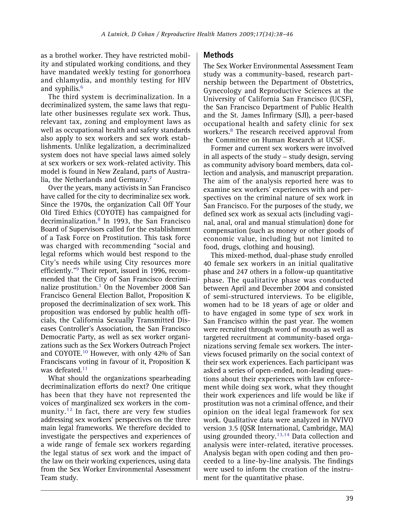as a brothel worker. They have restricted mobility and stipulated working conditions, and they have mandated weekly testing for gonorrhoea and chlamydia, and monthly testing for HIV and syphilis.<sup>[6](#page-7-0)</sup>

The third system is decriminalization. In a decriminalized system, the same laws that regulate other businesses regulate sex work. Thus, relevant tax, zoning and employment laws as well as occupational health and safety standards also apply to sex workers and sex work establishments. Unlike legalization, a decriminalized system does not have special laws aimed solely at sex workers or sex work-related activity. This model is found in New Zealand, parts of Austra-lia, the Netherlands and Germany.<sup>[7](#page-7-0)</sup>

Over the years, many activists in San Francisco have called for the city to decriminalize sex work. Since the 1970s, the organization Call Off Your Old Tired Ethics (COYOTE) has campaigned for decriminalization.[8](#page-7-0) In 1993, the San Francisco Board of Supervisors called for the establishment of a Task Force on Prostitution. This task force was charged with recommending "social and legal reforms which would best respond to the City's needs while using City resources more efficiently."[9](#page-7-0) Their report, issued in 1996, recommended that the City of San Francisco decrimi-nalize prostitution.<sup>[1](#page-7-0)</sup> On the November 2008 San Francisco General Election Ballot, Proposition K proposed the decriminalization of sex work. This proposition was endorsed by public health officials, the California Sexually Transmitted Diseases Controller's Association, the San Francisco Democratic Party, as well as sex worker organizations such as the Sex Workers Outreach Project and COYOTE.<sup>10</sup> However, with only 42% of San Franciscans voting in favour of it, Proposition K was defeated.<sup>[11](#page-7-0)</sup>

What should the organizations spearheading decriminalization efforts do next? One critique has been that they have not represented the voices of marginalized sex workers in the community. $12$  In fact, there are very few studies addressing sex workers' perspectives on the three main legal frameworks. We therefore decided to investigate the perspectives and experiences of a wide range of female sex workers regarding the legal status of sex work and the impact of the law on their working experiences, using data from the Sex Worker Environmental Assessment Team study.

### Methods

The Sex Worker Environmental Assessment Team study was a community-based, research partnership between the Department of Obstetrics, Gynecology and Reproductive Sciences at the University of California San Francisco (UCSF), the San Francisco Department of Public Health and the St. James Infirmary (SJI), a peer-based occupational health and safety clinic for sex workers.[8](#page-7-0) The research received approval from the Committee on Human Research at UCSF.

Former and current sex workers were involved in all aspects of the study − study design, serving as community advisory board members, data collection and analysis, and manuscript preparation. The aim of the analysis reported here was to examine sex workers' experiences with and perspectives on the criminal nature of sex work in San Francisco. For the purposes of the study, we defined sex work as sexual acts (including vaginal, anal, oral and manual stimulation) done for compensation (such as money or other goods of economic value, including but not limited to food, drugs, clothing and housing).

This mixed-method, dual-phase study enrolled 40 female sex workers in an initial qualitative phase and 247 others in a follow-up quantitative phase. The qualitative phase was conducted between April and December 2004 and consisted of semi-structured interviews. To be eligible, women had to be 18 years of age or older and to have engaged in some type of sex work in San Francisco within the past year. The women were recruited through word of mouth as well as targeted recruitment at community-based organizations serving female sex workers. The interviews focused primarily on the social context of their sex work experiences. Each participant was asked a series of open-ended, non-leading questions about their experiences with law enforcement while doing sex work, what they thought their work experiences and life would be like if prostitution was not a criminal offence, and their opinion on the ideal legal framework for sex work. Qualitative data were analyzed in NVIVO version 3.5 (QSR International, Cambridge, MA) using grounded theory.<sup>[13,14](#page-7-0)</sup> Data collection and analysis were inter-related, iterative processes. Analysis began with open coding and then proceeded to a line-by-line analysis. The findings were used to inform the creation of the instrument for the quantitative phase.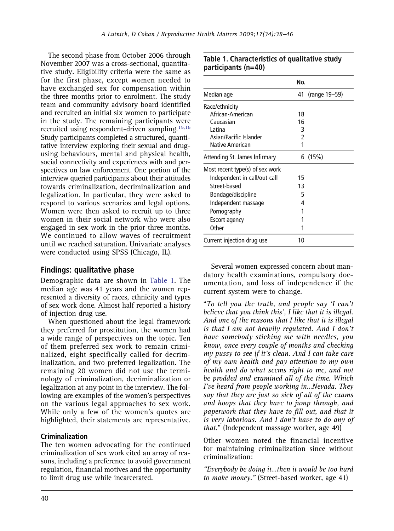The second phase from October 2006 through November 2007 was a cross-sectional, quantitative study. Eligibility criteria were the same as for the first phase, except women needed to have exchanged sex for compensation within the three months prior to enrolment. The study team and community advisory board identified and recruited an initial six women to participate in the study. The remaining participants were recruited using respondent-driven sampling.[15,16](#page-7-0) Study participants completed a structured, quantitative interview exploring their sexual and drugusing behaviours, mental and physical health, social connectivity and experiences with and perspectives on law enforcement. One portion of the interview queried participants about their attitudes towards criminalization, decriminalization and legalization. In particular, they were asked to respond to various scenarios and legal options. Women were then asked to recruit up to three women in their social network who were also engaged in sex work in the prior three months. We continued to allow waves of recruitment until we reached saturation. Univariate analyses were conducted using SPSS (Chicago, IL).

# Findings: qualitative phase

Demographic data are shown in Table 1. The median age was 41 years and the women represented a diversity of races, ethnicity and types of sex work done. Almost half reported a history of injection drug use.

When questioned about the legal framework they preferred for prostitution, the women had a wide range of perspectives on the topic. Ten of them preferred sex work to remain criminalized, eight specifically called for decriminalization, and two preferred legalization. The remaining 20 women did not use the terminology of criminalization, decriminalization or legalization at any point in the interview. The following are examples of the women's perspectives on the various legal approaches to sex work. While only a few of the women's quotes are highlighted, their statements are representative.

#### Criminalization

The ten women advocating for the continued criminalization of sex work cited an array of reasons, including a preference to avoid government regulation, financial motives and the opportunity to limit drug use while incarcerated.

## Table 1. Characteristics of qualitative study participants (n=40)

|                                 | No. |               |
|---------------------------------|-----|---------------|
| Median age                      | 41  | (range 19–59) |
| Race/ethnicity                  |     |               |
| African-American                | 18  |               |
| Caucasian                       | 16  |               |
| Latina                          | 3   |               |
| Asian/Pacific Islander          | 2   |               |
| Native American                 | 1   |               |
| Attending St. James Infirmary   |     | 6(15%)        |
| Most recent type(s) of sex work |     |               |
| Independent in-call/out-call    | 15  |               |
| Street-based                    | 13  |               |
| Bondage/discipline              | 5   |               |
| Independent massage             | 4   |               |
| Pornography                     |     |               |
| Escort agency                   |     |               |
| Other                           |     |               |
| Current injection drug use      | 10  |               |

Several women expressed concern about mandatory health examinations, compulsory documentation, and loss of independence if the current system were to change.

"To tell you the truth, and people say 'I can't believe that you think this', I like that it is illegal. And one of the reasons that I like that it is illegal is that I am not heavily regulated. And I don't have somebody sticking me with needles, you know, once every couple of months and checking my pussy to see if it's clean. And I can take care of my own health and pay attention to my own health and do what seems right to me, and not be prodded and examined all of the time. Which I've heard from people working in…Nevada. They say that they are just so sick of all of the exams and hoops that they have to jump through, and paperwork that they have to fill out, and that it is very laborious. And I don't have to do any of that." (Independent massage worker, age 49)

Other women noted the financial incentive for maintaining criminalization since without criminalization:

"Everybody be doing it…then it would be too hard to make money." (Street-based worker, age 41)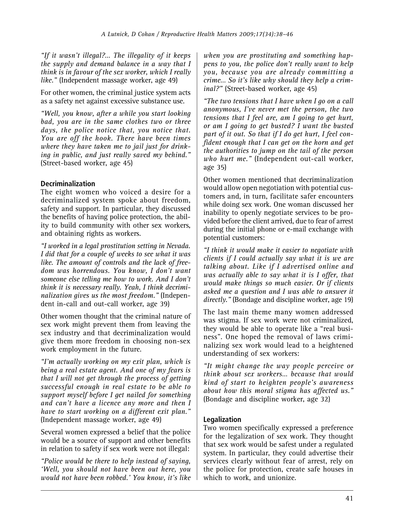"If it wasn't illegal?… The illegality of it keeps the supply and demand balance in a way that I think is in favour of the sex worker, which I really like." (Independent massage worker, age 49)

For other women, the criminal justice system acts as a safety net against excessive substance use.

"Well, you know, after a while you start looking bad, you are in the same clothes two or three days, the police notice that, you notice that. You are off the hook. There have been times where they have taken me to jail just for drinking in public, and just really saved my behind." (Street-based worker, age 45)

## Decriminalization

The eight women who voiced a desire for a decriminalized system spoke about freedom, safety and support. In particular, they discussed the benefits of having police protection, the ability to build community with other sex workers, and obtaining rights as workers.

"I worked in a legal prostitution setting in Nevada. I did that for a couple of weeks to see what it was like. The amount of controls and the lack of freedom was horrendous. You know, I don't want someone else telling me how to work. And I don't think it is necessary really. Yeah, I think decriminalization gives us the most freedom." (Independent in-call and out-call worker, age 39)

Other women thought that the criminal nature of sex work might prevent them from leaving the sex industry and that decriminalization would give them more freedom in choosing non-sex work employment in the future.

"I'm actually working on my exit plan, which is being a real estate agent. And one of my fears is that I will not get through the process of getting successful enough in real estate to be able to support myself before I get nailed for something and can't have a licence any more and then I have to start working on a different exit plan." (Independent massage worker, age 49)

Several women expressed a belief that the police would be a source of support and other benefits in relation to safety if sex work were not illegal:

"Police would be there to help instead of saying, 'Well, you should not have been out here, you would not have been robbed.' You know, it's like when you are prostituting and something happens to you, the police don't really want to help you, because you are already committing a crime… So it's like why should they help a criminal?" (Street-based worker, age 45)

"The two tensions that I have when I go on a call anonymous, I've never met the person, the two tensions that I feel are, am I going to get hurt, or am I going to get busted? I want the busted part of it out. So that if I do get hurt, I feel confident enough that I can get on the horn and get the authorities to jump on the tail of the person who hurt me." (Independent out-call worker, age 35)

Other women mentioned that decriminalization would allow open negotiation with potential customers and, in turn, facilitate safer encounters while doing sex work. One woman discussed her inability to openly negotiate services to be provided before the client arrived, due to fear of arrest during the initial phone or e-mail exchange with potential customers:

"I think it would make it easier to negotiate with clients if I could actually say what it is we are talking about. Like if I advertised online and was actually able to say what it is I offer, that would make things so much easier. Or if clients asked me a question and I was able to answer it directly." (Bondage and discipline worker, age 19)

The last main theme many women addressed was stigma. If sex work were not criminalized, they would be able to operate like a "real business". One hoped the removal of laws criminalizing sex work would lead to a heightened understanding of sex workers:

"It might change the way people perceive or think about sex workers… because that would kind of start to heighten people's awareness about how this moral stigma has affected us." (Bondage and discipline worker, age 32)

## Legalization

Two women specifically expressed a preference for the legalization of sex work. They thought that sex work would be safest under a regulated system. In particular, they could advertise their services clearly without fear of arrest, rely on the police for protection, create safe houses in which to work, and unionize.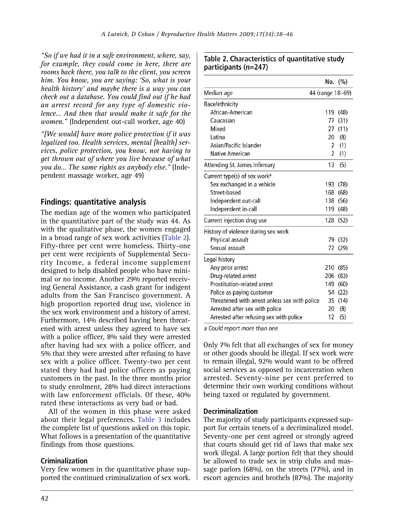"So if we had it in a safe environment, where, say, for example, they could come in here, there are rooms back there, you talk to the client, you screen him. You know, you are saying: 'So, what is your health history' and maybe there is a way you can check out a database. You could find out if he had an arrest record for any type of domestic violence… And then that would make it safe for the women." (Independent out-call worker, age 40)

"[We would] have more police protection if it was legalized too. Health services, mental [health] services, police protection, you know, not having to get thrown out of where you live because of what you do… The same rights as anybody else." (Independent massage worker, age 49)

# Findings: quantitative analysis

The median age of the women who participated in the quantitative part of the study was 44. As with the qualitative phase, the women engaged in a broad range of sex work activities (Table 2). Fifty-three per cent were homeless. Thirty-one per cent were recipients of Supplemental Security Income, a federal income supplement designed to help disabled people who have minimal or no income. Another 29% reported receiving General Assistance, a cash grant for indigent adults from the San Francisco government. A high proportion reported drug use, violence in the sex work environment and a history of arrest. Furthermore, 14% described having been threatened with arrest unless they agreed to have sex with a police officer, 8% said they were arrested after having had sex with a police officer, and 5% that they were arrested after refusing to have sex with a police officer. Twenty-two per cent stated they had had police officers as paying customers in the past. In the three months prior to study enrolment, 28% had direct interactions with law enforcement officials. Of these, 40% rated these interactions as very bad or bad.

All of the women in this phase were asked about their legal preferences. [Table 3](#page-5-0) includes the complete list of questions asked on this topic. What follows is a presentation of the quantitative findings from those questions.

#### Criminalization

Very few women in the quantitative phase supported the continued criminalization of sex work.

| Table 2. Characteristics of quantitative study |  |
|------------------------------------------------|--|
| participants (n=247)                           |  |

|                                               |                  | No. (%) |
|-----------------------------------------------|------------------|---------|
| Median age                                    | 44 (range 18-69) |         |
| Race/ethnicity                                |                  |         |
| African-American                              | 119              | (48)    |
| Caucasian                                     | 77               | (31)    |
| Mixed                                         | 27               | (11)    |
| Latina                                        | 20               | (8)     |
| Asian/Pacific Islander                        | 2                | (1)     |
| <b>Native American</b>                        | 2                | (1)     |
| Attending St. James Infirmary                 | 13               | (5)     |
| Current type(s) of sex work <sup>a</sup>      |                  |         |
| Sex exchanged in a vehicle                    | 193              | (78)    |
| Street-based                                  | 168              | (68)    |
| Independent out-call                          | 138              | (56)    |
| Independent in-call                           | 119              | (48)    |
| Current injection drug use                    | 128              | (52)    |
| History of violence during sex work           |                  |         |
| Physical assault                              | 79               | (32)    |
| Sexual assault                                | 72               | (29)    |
| Legal history                                 |                  |         |
| Any prior arrest                              | 210              | (85)    |
| Drug-related arrest                           | 206              | (83)    |
| Prostitution-related arrest                   | 149              | (60)    |
| Police as paying customer                     | 54               | (22)    |
| Threatened with arrest unless sex with police | 35               | (14)    |
| Arrested after sex with police                | 20               | (8)     |
| Arrested after refusing sex with police       | 12               | (5)     |

a Could report more than one

Only 7% felt that all exchanges of sex for money or other goods should be illegal. If sex work were to remain illegal, 92% would want to be offered social services as opposed to incarceration when arrested. Seventy-nine per cent preferred to determine their own working conditions without being taxed or regulated by government.

#### Decriminalization

The majority of study participants expressed support for certain tenets of a decriminalized model. Seventy-one per cent agreed or strongly agreed that courts should get rid of laws that make sex work illegal. A large portion felt that they should be allowed to trade sex in strip clubs and massage parlors (68%), on the streets (77%), and in escort agencies and brothels (87%). The majority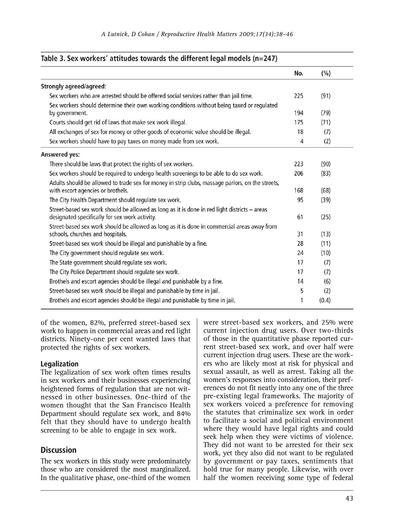|                                                                                                  | No. | (%)   |  |
|--------------------------------------------------------------------------------------------------|-----|-------|--|
| <b>Strongly agreed/agreed:</b>                                                                   |     |       |  |
| Sex workers who are arrested should be offered social services rather than jail time.            | 225 | (91)  |  |
| Sex workers should determine their own working conditions without being taxed or regulated       |     |       |  |
| by government.                                                                                   | 194 | (79)  |  |
| Courts should get rid of laws that make sex work illegal.                                        | 175 | (71)  |  |
| All exchanges of sex for money or other goods of economic value should be illegal.               | 18  | (7)   |  |
| Sex workers should have to pay taxes on money made from sex work.                                | 4   | (2)   |  |
| Answered yes:                                                                                    |     |       |  |
| There should be laws that protect the rights of sex workers.                                     | 223 | (90)  |  |
| Sex workers should be required to undergo health screenings to be able to do sex work.           | 206 | (83)  |  |
| Adults should be allowed to trade sex for money in strip clubs, massage parlors, on the streets, |     |       |  |
| with escort agencies or brothels.                                                                | 168 | (68)  |  |
| The City Health Department should regulate sex work.                                             | 95  | (39)  |  |
| Street-based sex work should be allowed as long as it is done in red light districts - areas     |     |       |  |
| designated specifically for sex work activity.                                                   | 61  | (25)  |  |
| Street-based sex work should be allowed as long as it is done in commercial areas away from      |     |       |  |
| schools, churches and hospitals.                                                                 | 31  | (13)  |  |
| Street-based sex work should be illegal and punishable by a fine.                                | 28  | (11)  |  |
| The City government should regulate sex work.                                                    | 24  | (10)  |  |
| The State government should regulate sex work.                                                   | 17  | (7)   |  |
| The City Police Department should regulate sex work.                                             | 17  | (7)   |  |
| Brothels and escort agencies should be illegal and punishable by a fine.                         | 14  | (6)   |  |
| Street-based sex work should be illegal and punishable by time in jail.                          | 5   | (2)   |  |
| Brothels and escort agencies should be illegal and punishable by time in jail.                   | 1   | (0.4) |  |

## <span id="page-5-0"></span>Table 3. Sex workers' attitudes towards the different legal models  $(n=247)$

of the women, 82%, preferred street-based sex work to happen in commercial areas and red light districts. Ninety-one per cent wanted laws that protected the rights of sex workers.

#### Legalization

The legalization of sex work often times results in sex workers and their businesses experiencing heightened forms of regulation that are not witnessed in other businesses. One-third of the women thought that the San Francisco Health Department should regulate sex work, and 84% felt that they should have to undergo health screening to be able to engage in sex work.

# **Discussion**

The sex workers in this study were predominately those who are considered the most marginalized. In the qualitative phase, one-third of the women

were street-based sex workers, and 25% were current injection drug users. Over two-thirds of those in the quantitative phase reported current street-based sex work, and over half were current injection drug users. These are the workers who are likely most at risk for physical and sexual assault, as well as arrest. Taking all the women's responses into consideration, their preferences do not fit neatly into any one of the three pre-existing legal frameworks. The majority of sex workers voiced a preference for removing the statutes that criminalize sex work in order to facilitate a social and political environment where they would have legal rights and could seek help when they were victims of violence. They did not want to be arrested for their sex work, yet they also did not want to be regulated by government or pay taxes, sentiments that hold true for many people. Likewise, with over half the women receiving some type of federal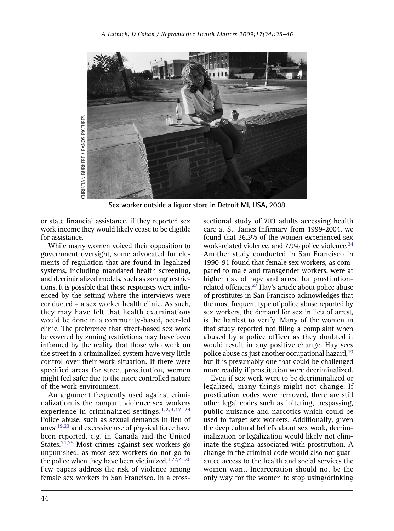

Sex worker outside a liquor store in Detroit MI, USA, 2008

or state financial assistance, if they reported sex work income they would likely cease to be eligible for assistance.

While many women voiced their opposition to government oversight, some advocated for elements of regulation that are found in legalized systems, including mandated health screening, and decriminalized models, such as zoning restrictions. It is possible that these responses were influenced by the setting where the interviews were conducted – a sex worker health clinic. As such, they may have felt that health examinations would be done in a community-based, peer-led clinic. The preference that street-based sex work be covered by zoning restrictions may have been informed by the reality that those who work on the street in a criminalized system have very little control over their work situation. If there were specified areas for street prostitution, women might feel safer due to the more controlled nature of the work environment.

An argument frequently used against criminalization is the rampant violence sex wo[rkers](#page-8-0) experience in criminalized settings.<sup>[1,2,9](#page-7-0),17-24</sup> Police abuse, such as sexual demands in lieu of arrest<sup>[19,23](#page-8-0)</sup> and excessive use of physical force have been reported, e.g. in Canada and the United States.<sup>[21,25](#page-8-0)</sup> Most crimes against sex workers go unpunished, as most sex workers do not go to the police when they have been victimized.<sup>3,[22,23,26](#page-8-0)</sup> Few papers address the risk of violence among female sex workers in San Francisco. In a cross-

sectional study of 783 adults accessing health care at St. James Infirmary from 1999-2004, we found that 36.3% of the women experienced sex work-related violence, and 7.9% police violence.<sup>24</sup> Another study conducted in San Francisco in 1990-91 found that female sex workers, as compared to male and transgender workers, were at higher risk of rape and arrest for prostitutionrelated offences.<sup>27</sup> Hay's article about police abuse of prostitutes in San Francisco acknowledges that the most frequent type of police abuse reported by sex workers, the demand for sex in lieu of arrest, is the hardest to verify. Many of the women in that study reported not filing a complaint when abused by a police officer as they doubted it would result in any positive change. Hay sees police abuse as just another occupational hazard,<sup>19</sup> but it is presumably one that could be challenged more readily if prostitution were decriminalized.

Even if sex work were to be decriminalized or legalized, many things might not change. If prostitution codes were removed, there are still other legal codes such as loitering, trespassing, public nuisance and narcotics which could be used to target sex workers. Additionally, given the deep cultural beliefs about sex work, decriminalization or legalization would likely not eliminate the stigma associated with prostitution. A change in the criminal code would also not guarantee access to the health and social services the women want. Incarceration should not be the only way for the women to stop using/drinking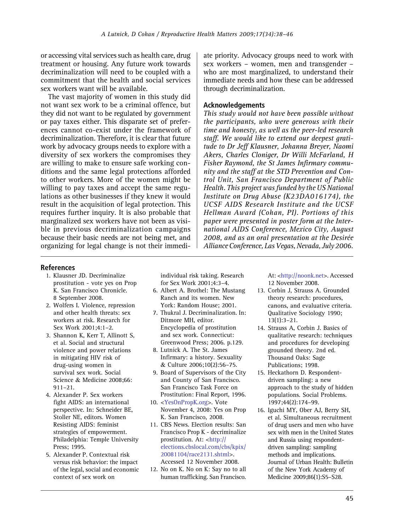<span id="page-7-0"></span>or accessing vital services such as health care, drug treatment or housing. Any future work towards decriminalization will need to be coupled with a commitment that the health and social services sex workers want will be available.

The vast majority of women in this study did not want sex work to be a criminal offence, but they did not want to be regulated by government or pay taxes either. This disparate set of preferences cannot co-exist under the framework of decriminalization. Therefore, it is clear that future work by advocacy groups needs to explore with a diversity of sex workers the compromises they are willing to make to ensure safe working conditions and the same legal protections afforded to other workers. More of the women might be willing to pay taxes and accept the same regulations as other businesses if they knew it would result in the acquisition of legal protection. This requires further inquiry. It is also probable that marginalized sex workers have not been as visible in previous decriminalization campaigns because their basic needs are not being met, and organizing for legal change is not their immediate priority. Advocacy groups need to work with sex workers – women, men and transgender – who are most marginalized, to understand their immediate needs and how these can be addressed through decriminalization.

#### Acknowledgements

This study would not have been possible without the participants, who were generous with their time and honesty, as well as the peer-led research staff. We would like to extend our deepest gratitude to Dr Jeff Klausner, Johanna Breyer, Naomi Akers, Charles Cloniger, Dr Willi McFarland, H Fisher Raymond, the St James Infirmary community and the staff at the STD Prevention and Control Unit, San Francisco Department of Public Health. This project was funded by the US National Institute on Drug Abuse (K23DA016174), the UCSF AIDS Research Institute and the UCSF Hellman Award (Cohan, PI). Portions of this paper were presented in poster form at the International AIDS Conference, Mexico City, August 2008, and as an oral presentation at the Desirée Alliance Conference, Las Vegas, Nevada, July 2006.

#### **References**

- 1. Klausner JD. Decriminalize prostitution - vote yes on Prop K. San Francisco Chronicle. 8 September 2008.
- 2. Wolfers I. Violence, repression and other health threats: sex workers at risk. Research for Sex Work 2001;4:1–2.
- 3. Shannon K, Kerr T, Allinott S, et al. Social and structural violence and power relations in mitigating HIV risk of drug-using women in survival sex work. Social Science & Medicine 2008;66: 911–21.
- 4. Alexander P. Sex workers fight AIDS: an international perspective. In: Schneider BE, Stoller NE, editors. Women Resisting AIDS: feminist strategies of empowerment. Philadelphia: Temple University Press; 1995.
- 5. Alexander P. Contextual risk versus risk behavior: the impact of the legal, social and economic context of sex work on

individual risk taking. Research for Sex Work 2001;4:3–4.

- 6. Albert A. Brothel: The Mustang Ranch and its women. New York: Random House; 2001.
- 7. Thukral J. Decriminalization. In: Ditmore MH, editor. Encyclopedia of prostitution and sex work. Connecticut: Greenwood Press; 2006. p.129.
- 8. Lutnick A. The St. James Infirmary: a history. Sexuality & Culture 2006;10(2):56–75.
- 9. Board of Supervisors of the City and County of San Francisco. San Francisco Task Force on Prostitution: Final Report, 1996.
- 10. <[YesOnPropK.org>](http://YesOnPropK.org). Vote November 4, 2008: Yes on Prop K. San Francisco, 2008.
- 11. CBS News. Election results: San Francisco Prop K - decriminalize prostitution. At: [<http://](http://elections.cbslocal.com/cbs/kpix/20081104/race2131.shtml) [elections.cbslocal.com/cbs/kpix/](http://elections.cbslocal.com/cbs/kpix/20081104/race2131.shtml) [20081104/race2131.shtml>](http://elections.cbslocal.com/cbs/kpix/20081104/race2131.shtml). Accessed 12 November 2008.
- 12. No on K. No on K: Say no to all human trafficking. San Francisco.

At: <<http://noonk.net>>. Accessed 12 November 2008.

- 13. Corbin J, Strauss A. Grounded theory research: procedures, canons, and evaluative criteria. Qualitative Sociology 1990; 13(1):3–21.
- 14. Strauss A, Corbin J. Basics of qualitative research: techniques and procedures for developing grounded theory. 2nd ed. Thousand Oaks: Sage Publications; 1998.
- 15. Heckathorn D. Respondentdriven sampling: a new approach to the study of hidden populations. Social Problems. 1997;44(2):174–99.
- 16. Iguchi MY, Ober AJ, Berry SH, et al. Simultaneous recruitment of drug users and men who have sex with men in the United States and Russia using respondentdriven sampling: sampling methods and implications. Journal of Urban Health: Bulletin of the New York Academy of Medicine 2009;86(1):S5–S28.